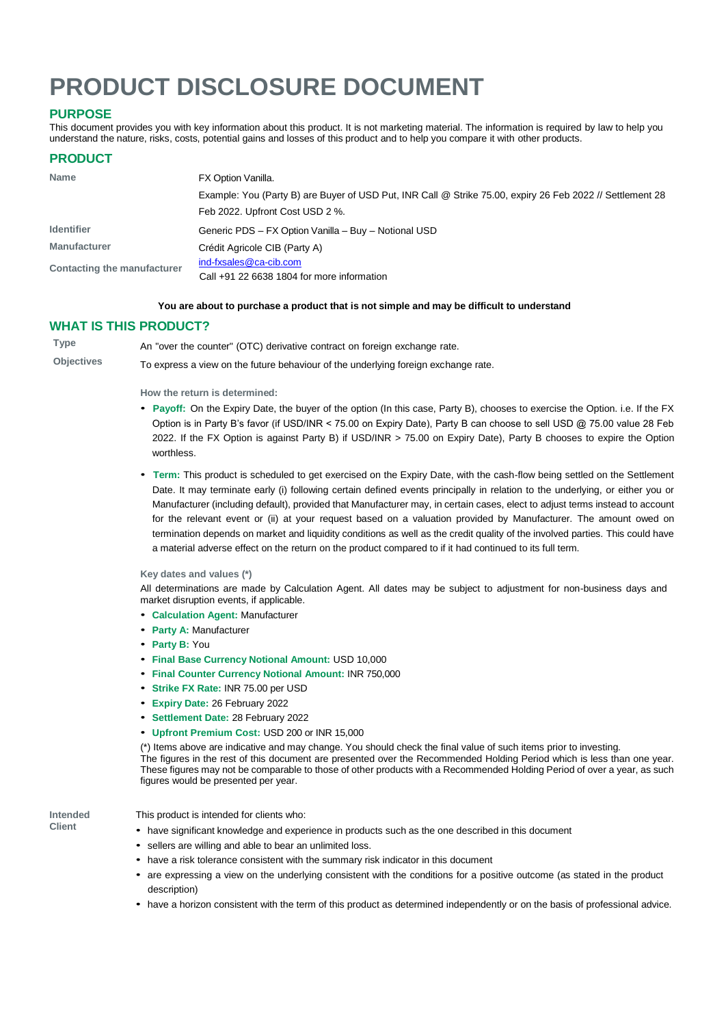# **PRODUCT DISCLOSURE DOCUMENT**

# **PURPOSE**

This document provides you with key information about this product. It is not marketing material. The information is required by law to help you understand the nature, risks, costs, potential gains and losses of this product and to help you compare it with other products.

## **PRODUCT**

| <b>Name</b>                 | FX Option Vanilla.                                                                                        |  |  |
|-----------------------------|-----------------------------------------------------------------------------------------------------------|--|--|
|                             | Example: You (Party B) are Buyer of USD Put, INR Call @ Strike 75.00, expiry 26 Feb 2022 // Settlement 28 |  |  |
|                             | Feb 2022. Upfront Cost USD 2 %.                                                                           |  |  |
| <b>Identifier</b>           | Generic PDS - FX Option Vanilla - Buy - Notional USD                                                      |  |  |
| <b>Manufacturer</b>         | Crédit Agricole CIB (Party A)                                                                             |  |  |
| Contacting the manufacturer | ind-fxsales@ca-cib.com                                                                                    |  |  |
|                             | Call $+91$ 22 6638 1804 for more information                                                              |  |  |

#### **You are about to purchase a product that is not simple and may be difficult to understand**

#### **WHAT IS THIS PRODUCT?**

**Type** An "over the counter" (OTC) derivative contract on foreign exchange rate.

**Objectives** To express a view on the future behaviour of the underlying foreign exchange rate.

**How the return is determined:**

- **Payoff:** On the Expiry Date, the buyer of the option (In this case, Party B), chooses to exercise the Option. i.e. If the FX Option is in Party B's favor (if USD/INR < 75.00 on Expiry Date), Party B can choose to sell USD @ 75.00 value 28 Feb 2022. If the FX Option is against Party B) if USD/INR > 75.00 on Expiry Date), Party B chooses to expire the Option worthless.
- **Term:** This product is scheduled to get exercised on the Expiry Date, with the cash-flow being settled on the Settlement Date. It may terminate early (i) following certain defined events principally in relation to the underlying, or either you or Manufacturer (including default), provided that Manufacturer may, in certain cases, elect to adjust terms instead to account for the relevant event or (ii) at your request based on a valuation provided by Manufacturer. The amount owed on termination depends on market and liquidity conditions as well as the credit quality of the involved parties. This could have a material adverse effect on the return on the product compared to if it had continued to its full term.

**Key dates and values (\*)**

All determinations are made by Calculation Agent. All dates may be subject to adjustment for non-business days and market disruption events, if applicable.

- **Calculation Agent:** Manufacturer
- **Party A:** Manufacturer
- **Party B:** You
- **Final Base Currency Notional Amount:** USD 10,000
- **Final Counter Currency Notional Amount:** INR 750,000
- **Strike FX Rate:** INR 75.00 per USD
- **Expiry Date:** 26 February 2022
- **Settlement Date:** 28 February 2022
- **Upfront Premium Cost:** USD 200 or INR 15,000

(\*) Items above are indicative and may change. You should check the final value of such items prior to investing. The figures in the rest of this document are presented over the Recommended Holding Period which is less than one year. These figures may not be comparable to those of other products with a Recommended Holding Period of over a year, as such figures would be presented per year.

**Intended Client**

#### This product is intended for clients who:

- have significant knowledge and experience in products such as the one described in this document
- sellers are willing and able to bear an unlimited loss.
- have a risk tolerance consistent with the summary risk indicator in this document
- are expressing <sup>a</sup> view on the underlying consistent with the conditions for <sup>a</sup> positive outcome (as stated in the product description)
- have a horizon consistent with the term of this product as determined independently or on the basis of professional advice.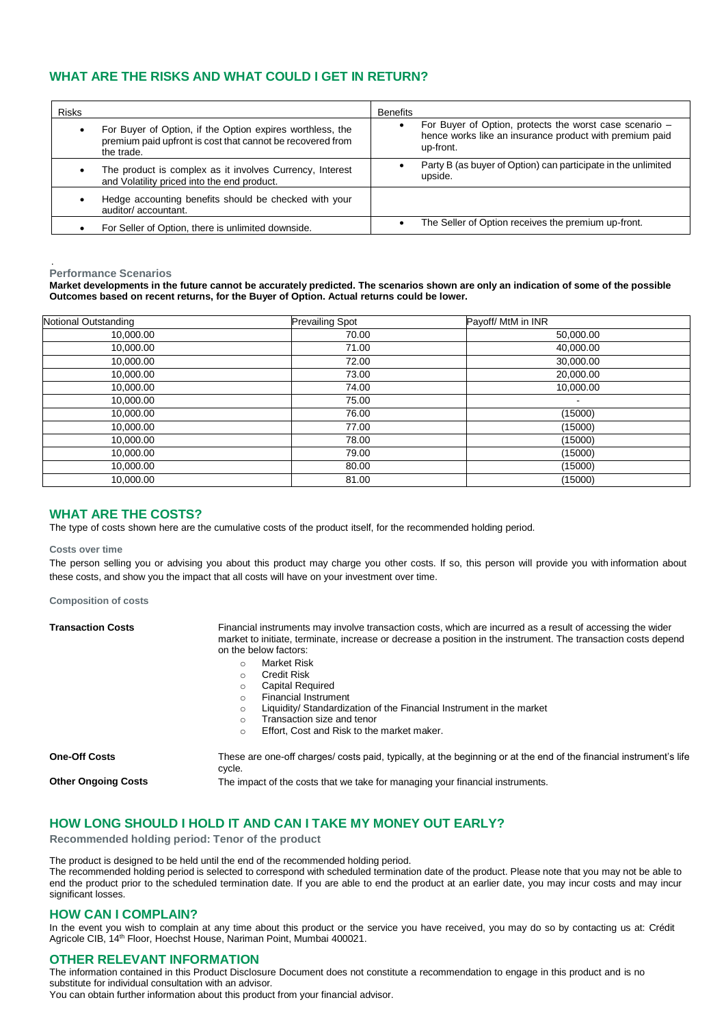# **WHAT ARE THE RISKS AND WHAT COULD I GET IN RETURN?**

| <b>Risks</b> |                                                                                                                                       | <b>Benefits</b>                                                                                                                 |
|--------------|---------------------------------------------------------------------------------------------------------------------------------------|---------------------------------------------------------------------------------------------------------------------------------|
|              | For Buyer of Option, if the Option expires worthless, the<br>premium paid upfront is cost that cannot be recovered from<br>the trade. | For Buyer of Option, protects the worst case scenario -<br>hence works like an insurance product with premium paid<br>up-front. |
|              | The product is complex as it involves Currency, Interest<br>and Volatility priced into the end product.                               | Party B (as buyer of Option) can participate in the unlimited<br>upside.                                                        |
|              | Hedge accounting benefits should be checked with your<br>auditor/accountant.                                                          |                                                                                                                                 |
|              | For Seller of Option, there is unlimited downside.                                                                                    | The Seller of Option receives the premium up-front.                                                                             |

#### . **Performance Scenarios**

**Market developments in the future cannot be accurately predicted. The scenarios shown are only an indication of some of the possible Outcomes based on recent returns, for the Buyer of Option. Actual returns could be lower.**

| Notional Outstanding | <b>Prevailing Spot</b> | Payoff/ MtM in INR       |
|----------------------|------------------------|--------------------------|
| 10,000.00            | 70.00                  | 50,000.00                |
| 10,000.00            | 71.00                  | 40,000.00                |
| 10,000.00            | 72.00                  | 30,000.00                |
| 10,000.00            | 73.00                  | 20,000.00                |
| 10,000.00            | 74.00                  | 10,000.00                |
| 10,000.00            | 75.00                  | $\overline{\phantom{a}}$ |
| 10,000.00            | 76.00                  | (15000)                  |
| 10,000.00            | 77.00                  | (15000)                  |
| 10,000.00            | 78.00                  | (15000)                  |
| 10,000.00            | 79.00                  | (15000)                  |
| 10,000.00            | 80.00                  | (15000)                  |
| 10,000.00            | 81.00                  | (15000)                  |

### **WHAT ARE THE COSTS?**

The type of costs shown here are the cumulative costs of the product itself, for the recommended holding period.

**Costs over time**

The person selling you or advising you about this product may charge you other costs. If so, this person will provide you with information about these costs, and show you the impact that all costs will have on your investment over time.

**Composition of costs**

| <b>Transaction Costs</b>   | Financial instruments may involve transaction costs, which are incurred as a result of accessing the wider<br>market to initiate, terminate, increase or decrease a position in the instrument. The transaction costs depend<br>on the below factors: |  |  |
|----------------------------|-------------------------------------------------------------------------------------------------------------------------------------------------------------------------------------------------------------------------------------------------------|--|--|
|                            | Market Risk<br>$\circ$                                                                                                                                                                                                                                |  |  |
|                            | <b>Credit Risk</b><br>$\circ$                                                                                                                                                                                                                         |  |  |
|                            | <b>Capital Required</b><br>$\circ$                                                                                                                                                                                                                    |  |  |
|                            | <b>Financial Instrument</b><br>$\Omega$                                                                                                                                                                                                               |  |  |
|                            | Liquidity/ Standardization of the Financial Instrument in the market<br>$\circ$                                                                                                                                                                       |  |  |
|                            | Transaction size and tenor<br>$\Omega$                                                                                                                                                                                                                |  |  |
|                            | Effort, Cost and Risk to the market maker.<br>$\circ$                                                                                                                                                                                                 |  |  |
| <b>One-Off Costs</b>       | These are one-off charges/ costs paid, typically, at the beginning or at the end of the financial instrument's life<br>cycle.                                                                                                                         |  |  |
| <b>Other Ongoing Costs</b> | The impact of the costs that we take for managing your financial instruments.                                                                                                                                                                         |  |  |

# **HOW LONG SHOULD I HOLD IT AND CAN I TAKE MY MONEY OUT EARLY?**

**Recommended holding period: Tenor of the product**

The product is designed to be held until the end of the recommended holding period. The recommended holding period is selected to correspond with scheduled termination date of the product. Please note that you may not be able to end the product prior to the scheduled termination date. If you are able to end the product at an earlier date, you may incur costs and may incur significant losses.

#### **HOW CAN I COMPLAIN?**

In the event you wish to complain at any time about this product or the service you have received, you may do so by contacting us at: Crédit Agricole CIB, 14<sup>th</sup> Floor, Hoechst House, Nariman Point, Mumbai 400021.

#### **OTHER RELEVANT INFORMATION**

The information contained in this Product Disclosure Document does not constitute a recommendation to engage in this product and is no substitute for individual consultation with an advisor.

You can obtain further information about this product from your financial advisor.